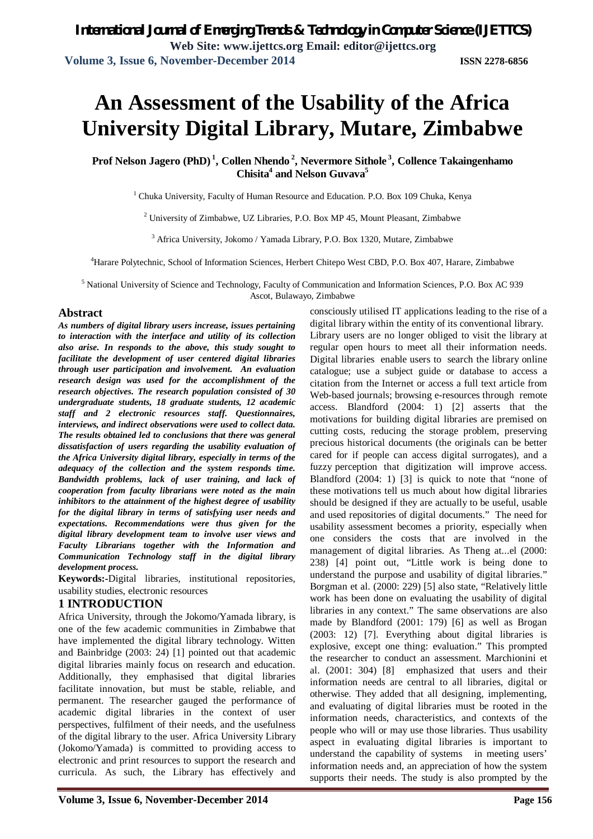# **An Assessment of the Usability of the Africa University Digital Library, Mutare, Zimbabwe**

**Prof Nelson Jagero (PhD) <sup>1</sup> , Collen Nhendo <sup>2</sup> , Nevermore Sithole <sup>3</sup> , Collence Takaingenhamo Chisita<sup>4</sup> and Nelson Guvava<sup>5</sup>**

 $1$  Chuka University, Faculty of Human Resource and Education. P.O. Box 109 Chuka, Kenya

 $2$  University of Zimbabwe, UZ Libraries, P.O. Box MP 45, Mount Pleasant, Zimbabwe

<sup>3</sup> Africa University, Jokomo / Yamada Library, P.O. Box 1320, Mutare, Zimbabwe

<sup>4</sup>Harare Polytechnic, School of Information Sciences, Herbert Chitepo West CBD, P.O. Box 407, Harare, Zimbabwe

<sup>5</sup> National University of Science and Technology, Faculty of Communication and Information Sciences, P.O. Box AC 939 Ascot, Bulawayo, Zimbabwe

#### **Abstract**

*As numbers of digital library users increase, issues pertaining to interaction with the interface and utility of its collection also arise. In responds to the above, this study sought to facilitate the development of user centered digital libraries through user participation and involvement. An evaluation research design was used for the accomplishment of the research objectives. The research population consisted of 30 undergraduate students, 18 graduate students, 12 academic staff and 2 electronic resources staff. Questionnaires, interviews, and indirect observations were used to collect data. The results obtained led to conclusions that there was general dissatisfaction of users regarding the usability evaluation of the Africa University digital library, especially in terms of the adequacy of the collection and the system responds time. Bandwidth problems, lack of user training, and lack of cooperation from faculty librarians were noted as the main inhibitors to the attainment of the highest degree of usability for the digital library in terms of satisfying user needs and expectations. Recommendations were thus given for the digital library development team to involve user views and Faculty Librarians together with the Information and Communication Technology staff in the digital library development process.* 

**Keywords:-**Digital libraries, institutional repositories, usability studies, electronic resources

### **1 INTRODUCTION**

Africa University, through the Jokomo/Yamada library, is one of the few academic communities in Zimbabwe that have implemented the digital library technology. Witten and Bainbridge (2003: 24) [1] pointed out that academic digital libraries mainly focus on research and education. Additionally, they emphasised that digital libraries facilitate innovation, but must be stable, reliable, and permanent. The researcher gauged the performance of academic digital libraries in the context of user perspectives, fulfilment of their needs, and the usefulness of the digital library to the user. Africa University Library (Jokomo/Yamada) is committed to providing access to electronic and print resources to support the research and curricula. As such, the Library has effectively and

consciously utilised IT applications leading to the rise of a digital library within the entity of its conventional library. Library users are no longer obliged to visit the library at regular open hours to meet all their information needs. Digital libraries enable users to search the library online catalogue; use a subject guide or database to access a citation from the Internet or access a full text article from Web-based journals; browsing e-resources through remote access. Blandford (2004: 1) [2] asserts that the motivations for building digital libraries are premised on cutting costs, reducing the storage problem, preserving precious historical documents (the originals can be better cared for if people can access digital surrogates), and a fuzzy perception that digitization will improve access. Blandford (2004: 1) [3] is quick to note that "none of these motivations tell us much about how digital libraries should be designed if they are actually to be useful, usable and used repositories of digital documents." The need for usability assessment becomes a priority, especially when one considers the costs that are involved in the management of digital libraries. As Theng at...el (2000: 238) [4] point out, "Little work is being done to understand the purpose and usability of digital libraries." Borgman et al. (2000: 229) [5] also state, "Relatively little work has been done on evaluating the usability of digital libraries in any context." The same observations are also made by Blandford (2001: 179) [6] as well as Brogan (2003: 12) [7]. Everything about digital libraries is explosive, except one thing: evaluation." This prompted the researcher to conduct an assessment. Marchionini et al. (2001: 304) [8] emphasized that users and their information needs are central to all libraries, digital or otherwise. They added that all designing, implementing, and evaluating of digital libraries must be rooted in the information needs, characteristics, and contexts of the people who will or may use those libraries. Thus usability aspect in evaluating digital libraries is important to understand the capability of systems in meeting users' information needs and, an appreciation of how the system supports their needs. The study is also prompted by the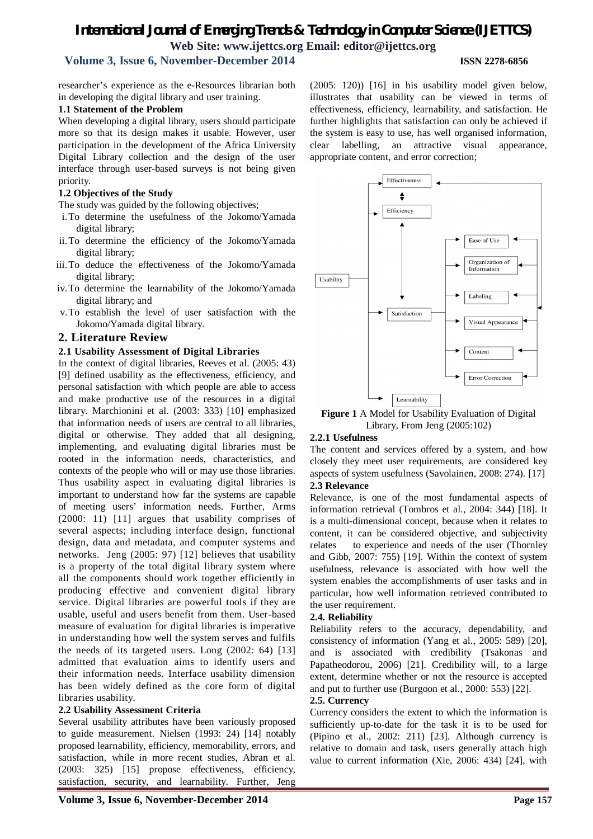# **Volume 3, Issue 6, November-December 2014 ISSN 2278-6856**

researcher's experience as the e-Resources librarian both in developing the digital library and user training.

#### **1.1 Statement of the Problem**

When developing a digital library, users should participate more so that its design makes it usable. However, user participation in the development of the Africa University Digital Library collection and the design of the user interface through user-based surveys is not being given priority.

#### **1.2 Objectives of the Study**

The study was guided by the following objectives;

- i.To determine the usefulness of the Jokomo/Yamada digital library;
- ii.To determine the efficiency of the Jokomo/Yamada digital library;
- iii.To deduce the effectiveness of the Jokomo/Yamada digital library;
- iv.To determine the learnability of the Jokomo/Yamada digital library; and
- v.To establish the level of user satisfaction with the Jokomo/Yamada digital library.

#### **2. Literature Review**

#### **2.1 Usability Assessment of Digital Libraries**

In the context of digital libraries, Reeves et al. (2005: 43) [9] defined usability as the effectiveness, efficiency, and personal satisfaction with which people are able to access and make productive use of the resources in a digital library. Marchionini et al. (2003: 333) [10] emphasized that information needs of users are central to all libraries, digital or otherwise. They added that all designing, implementing, and evaluating digital libraries must be rooted in the information needs, characteristics, and contexts of the people who will or may use those libraries. Thus usability aspect in evaluating digital libraries is important to understand how far the systems are capable of meeting users' information needs. Further, Arms (2000: 11) [11] argues that usability comprises of several aspects; including interface design, functional design, data and metadata, and computer systems and networks. Jeng (2005: 97) [12] believes that usability is a property of the total digital library system where all the components should work together efficiently in producing effective and convenient digital library service. Digital libraries are powerful tools if they are usable, useful and users benefit from them. User-based measure of evaluation for digital libraries is imperative in understanding how well the system serves and fulfils the needs of its targeted users. Long (2002: 64) [13] admitted that evaluation aims to identify users and their information needs. Interface usability dimension has been widely defined as the core form of digital libraries usability.

#### **2.2 Usability Assessment Criteria**

Several usability attributes have been variously proposed to guide measurement. Nielsen (1993: 24) [14] notably proposed learnability, efficiency, memorability, errors, and satisfaction, while in more recent studies, Abran et al. (2003: 325) [15] propose effectiveness, efficiency, satisfaction, security, and learnability. Further, Jeng (2005: 120)) [16] in his usability model given below, illustrates that usability can be viewed in terms of effectiveness, efficiency, learnability, and satisfaction. He further highlights that satisfaction can only be achieved if the system is easy to use, has well organised information, clear labelling, an attractive visual appearance, appropriate content, and error correction;



**Figure 1** A Model for Usability Evaluation of Digital Library, From Jeng (2005:102)

#### **2.2.1 Usefulness**

The content and services offered by a system, and how closely they meet user requirements, are considered key aspects of system usefulness (Savolainen, 2008: 274). [17] **2.3 Relevance**

Relevance, is one of the most fundamental aspects of information retrieval (Tombros et al., 2004: 344) [18]. It is a multi-dimensional concept, because when it relates to content, it can be considered objective, and subjectivity relates to experience and needs of the user (Thornley and Gibb, 2007: 755) [19]. Within the context of system usefulness, relevance is associated with how well the system enables the accomplishments of user tasks and in particular, how well information retrieved contributed to the user requirement.

#### **2.4. Reliability**

Reliability refers to the accuracy, dependability, and consistency of information (Yang et al., 2005: 589) [20], and is associated with credibility (Tsakonas and Papatheodorou, 2006) [21]. Credibility will, to a large extent, determine whether or not the resource is accepted and put to further use (Burgoon et al., 2000: 553) [22].

#### **2.5. Currency**

Currency considers the extent to which the information is sufficiently up-to-date for the task it is to be used for (Pipino et al., 2002: 211) [23]. Although currency is relative to domain and task, users generally attach high value to current information (Xie, 2006: 434) [24], with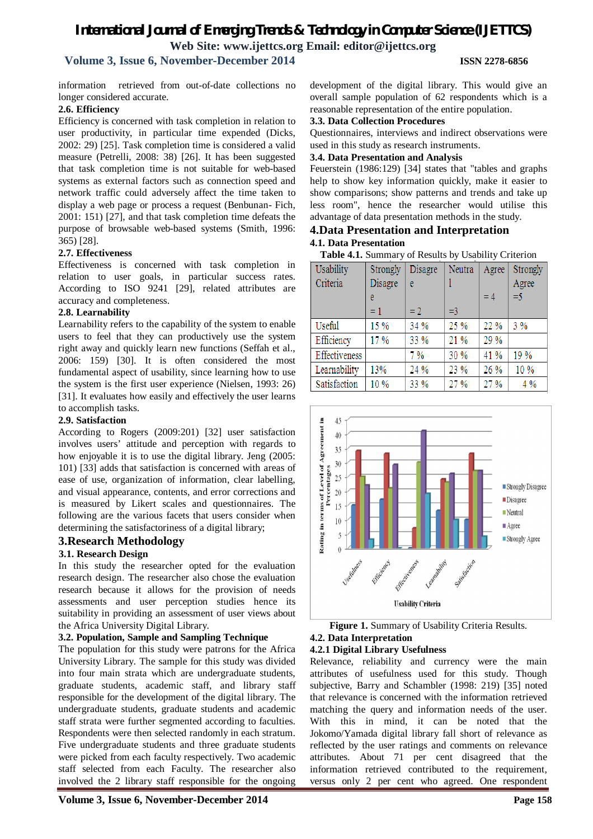# **Volume 3, Issue 6, November-December 2014 ISSN 2278-6856**

information retrieved from out-of-date collections no longer considered accurate.

#### **2.6. Efficiency**

Efficiency is concerned with task completion in relation to user productivity, in particular time expended (Dicks, 2002: 29) [25]. Task completion time is considered a valid measure (Petrelli, 2008: 38) [26]. It has been suggested that task completion time is not suitable for web-based systems as external factors such as connection speed and network traffic could adversely affect the time taken to display a web page or process a request (Benbunan- Fich, 2001: 151) [27], and that task completion time defeats the purpose of browsable web-based systems (Smith, 1996: 365) [28].

#### **2.7. Effectiveness**

Effectiveness is concerned with task completion in relation to user goals, in particular success rates. According to ISO 9241 [29], related attributes are accuracy and completeness.

#### **2.8. Learnability**

Learnability refers to the capability of the system to enable users to feel that they can productively use the system right away and quickly learn new functions (Seffah et al., 2006: 159) [30]. It is often considered the most fundamental aspect of usability, since learning how to use the system is the first user experience (Nielsen, 1993: 26) [31]. It evaluates how easily and effectively the user learns to accomplish tasks.

#### **2.9. Satisfaction**

According to Rogers (2009:201) [32] user satisfaction involves users' attitude and perception with regards to how enjoyable it is to use the digital library. Jeng (2005: 101) [33] adds that satisfaction is concerned with areas of ease of use, organization of information, clear labelling, and visual appearance, contents, and error corrections and is measured by Likert scales and questionnaires. The following are the various facets that users consider when determining the satisfactoriness of a digital library;

#### **3.Research Methodology**

#### **3.1. Research Design**

In this study the researcher opted for the evaluation research design. The researcher also chose the evaluation research because it allows for the provision of needs assessments and user perception studies hence its suitability in providing an assessment of user views about the Africa University Digital Library.

#### **3.2. Population, Sample and Sampling Technique**

The population for this study were patrons for the Africa University Library. The sample for this study was divided into four main strata which are undergraduate students, graduate students, academic staff, and library staff responsible for the development of the digital library. The undergraduate students, graduate students and academic staff strata were further segmented according to faculties. Respondents were then selected randomly in each stratum. Five undergraduate students and three graduate students were picked from each faculty respectively. Two academic staff selected from each Faculty. The researcher also involved the 2 library staff responsible for the ongoing

development of the digital library. This would give an overall sample population of 62 respondents which is a reasonable representation of the entire population.

#### **3.3. Data Collection Procedures**

Questionnaires, interviews and indirect observations were used in this study as research instruments.

#### **3.4. Data Presentation and Analysis**

Feuerstein (1986:129) [34] states that "tables and graphs help to show key information quickly, make it easier to show comparisons; show patterns and trends and take up less room", hence the researcher would utilise this advantage of data presentation methods in the study.

#### **4.Data Presentation and Interpretation 4.1. Data Presentation**

**Table 4.1.** Summary of Results by Usability Criterion

| Usability     | Strongly | Disagre | Neutra | Agree | Strongly |
|---------------|----------|---------|--------|-------|----------|
| Criteria      | Disagre  | e       |        |       | Agree    |
|               | e        |         |        | $=4$  | $=$ 5    |
|               | $= 1$    | $=2$    | $=$ 3  |       |          |
| Useful        | 15 %     | 34 %    | 25 %   | 22 %  | 3%       |
| Efficiency    | 17%      | 33 %    | 21 %   | 29 %  |          |
| Effectiveness |          | 7%      | 30 %   | 41 %  | 19 %     |
| Learnability  | 13%      | 24 %    | 23 %   | 26 %  | 10 %     |
| Satisfaction  | 10 %     | 33 %    | 27 %   | 27 %  | 4%       |



#### **Figure 1.** Summary of Usability Criteria Results. **4.2. Data Interpretation**

#### **4.2.1 Digital Library Usefulness**

Relevance, reliability and currency were the main attributes of usefulness used for this study. Though subjective, Barry and Schambler (1998: 219) [35] noted that relevance is concerned with the information retrieved matching the query and information needs of the user. With this in mind, it can be noted that the Jokomo/Yamada digital library fall short of relevance as reflected by the user ratings and comments on relevance attributes. About 71 per cent disagreed that the information retrieved contributed to the requirement, versus only 2 per cent who agreed. One respondent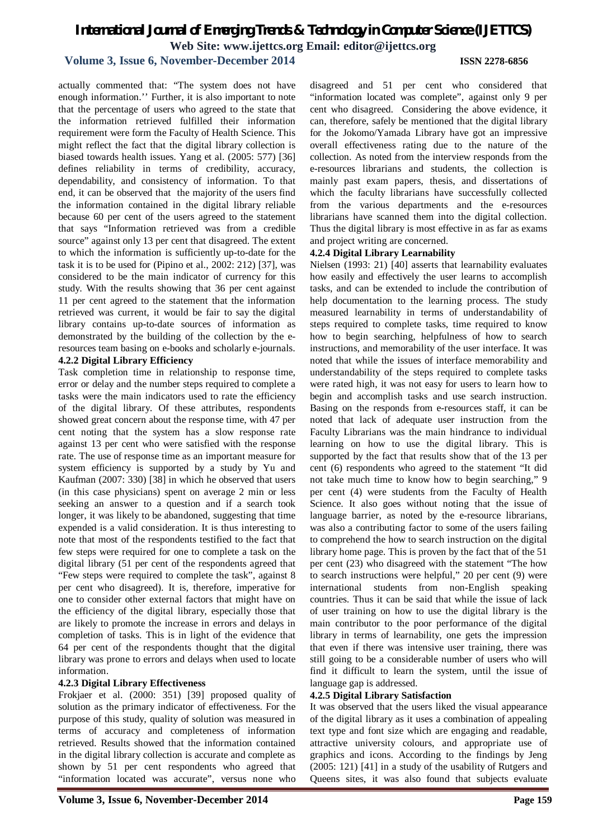#### **Volume 3, Issue 6, November-December 2014 ISSN 2278-6856**

actually commented that: "The system does not have enough information.'' Further, it is also important to note that the percentage of users who agreed to the state that the information retrieved fulfilled their information requirement were form the Faculty of Health Science. This might reflect the fact that the digital library collection is biased towards health issues. Yang et al. (2005: 577) [36] defines reliability in terms of credibility, accuracy, dependability, and consistency of information. To that end, it can be observed that the majority of the users find the information contained in the digital library reliable because 60 per cent of the users agreed to the statement that says "Information retrieved was from a credible source" against only 13 per cent that disagreed. The extent to which the information is sufficiently up-to-date for the task it is to be used for (Pipino et al., 2002: 212) [37], was considered to be the main indicator of currency for this study. With the results showing that 36 per cent against 11 per cent agreed to the statement that the information retrieved was current, it would be fair to say the digital library contains up-to-date sources of information as demonstrated by the building of the collection by the eresources team basing on e-books and scholarly e-journals. **4.2.2 Digital Library Efficiency**

Task completion time in relationship to response time, error or delay and the number steps required to complete a tasks were the main indicators used to rate the efficiency of the digital library. Of these attributes, respondents showed great concern about the response time, with 47 per cent noting that the system has a slow response rate against 13 per cent who were satisfied with the response rate. The use of response time as an important measure for system efficiency is supported by a study by Yu and Kaufman (2007: 330) [38] in which he observed that users (in this case physicians) spent on average 2 min or less seeking an answer to a question and if a search took longer, it was likely to be abandoned, suggesting that time expended is a valid consideration. It is thus interesting to note that most of the respondents testified to the fact that few steps were required for one to complete a task on the digital library (51 per cent of the respondents agreed that "Few steps were required to complete the task", against 8 per cent who disagreed). It is, therefore, imperative for one to consider other external factors that might have on the efficiency of the digital library, especially those that are likely to promote the increase in errors and delays in completion of tasks. This is in light of the evidence that 64 per cent of the respondents thought that the digital library was prone to errors and delays when used to locate information.

#### **4.2.3 Digital Library Effectiveness**

Frokjaer et al. (2000: 351) [39] proposed quality of solution as the primary indicator of effectiveness. For the purpose of this study, quality of solution was measured in terms of accuracy and completeness of information retrieved. Results showed that the information contained in the digital library collection is accurate and complete as shown by 51 per cent respondents who agreed that "information located was accurate", versus none who

disagreed and 51 per cent who considered that "information located was complete", against only 9 per cent who disagreed. Considering the above evidence, it can, therefore, safely be mentioned that the digital library for the Jokomo/Yamada Library have got an impressive overall effectiveness rating due to the nature of the collection. As noted from the interview responds from the e-resources librarians and students, the collection is mainly past exam papers, thesis, and dissertations of which the faculty librarians have successfully collected from the various departments and the e-resources librarians have scanned them into the digital collection. Thus the digital library is most effective in as far as exams and project writing are concerned.

#### **4.2.4 Digital Library Learnability**

Nielsen (1993: 21) [40] asserts that learnability evaluates how easily and effectively the user learns to accomplish tasks, and can be extended to include the contribution of help documentation to the learning process. The study measured learnability in terms of understandability of steps required to complete tasks, time required to know how to begin searching, helpfulness of how to search instructions, and memorability of the user interface. It was noted that while the issues of interface memorability and understandability of the steps required to complete tasks were rated high, it was not easy for users to learn how to begin and accomplish tasks and use search instruction. Basing on the responds from e-resources staff, it can be noted that lack of adequate user instruction from the Faculty Librarians was the main hindrance to individual learning on how to use the digital library. This is supported by the fact that results show that of the 13 per cent (6) respondents who agreed to the statement "It did not take much time to know how to begin searching," 9 per cent (4) were students from the Faculty of Health Science. It also goes without noting that the issue of language barrier, as noted by the e-resource librarians, was also a contributing factor to some of the users failing to comprehend the how to search instruction on the digital library home page. This is proven by the fact that of the 51 per cent (23) who disagreed with the statement "The how to search instructions were helpful," 20 per cent (9) were international students from non-English speaking countries. Thus it can be said that while the issue of lack of user training on how to use the digital library is the main contributor to the poor performance of the digital library in terms of learnability, one gets the impression that even if there was intensive user training, there was still going to be a considerable number of users who will find it difficult to learn the system, until the issue of language gap is addressed.

#### **4.2.5 Digital Library Satisfaction**

It was observed that the users liked the visual appearance of the digital library as it uses a combination of appealing text type and font size which are engaging and readable, attractive university colours, and appropriate use of graphics and icons. According to the findings by Jeng (2005: 121) [41] in a study of the usability of Rutgers and Queens sites, it was also found that subjects evaluate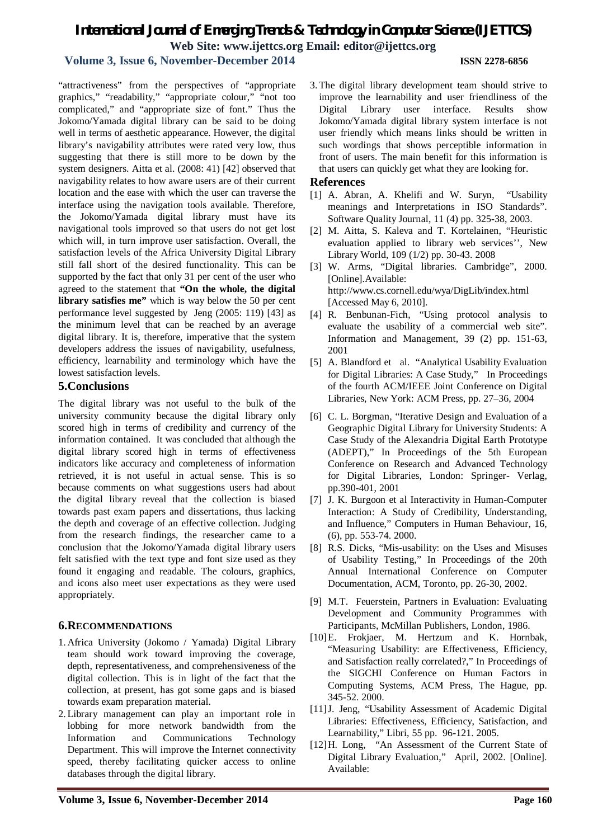# **Volume 3, Issue 6, November-December 2014 ISSN 2278-6856**

"attractiveness" from the perspectives of "appropriate graphics," "readability," "appropriate colour," "not too complicated," and "appropriate size of font." Thus the Jokomo/Yamada digital library can be said to be doing well in terms of aesthetic appearance. However, the digital library's navigability attributes were rated very low, thus suggesting that there is still more to be down by the system designers. Aitta et al. (2008: 41) [42] observed that navigability relates to how aware users are of their current location and the ease with which the user can traverse the interface using the navigation tools available. Therefore, the Jokomo/Yamada digital library must have its navigational tools improved so that users do not get lost which will, in turn improve user satisfaction. Overall, the satisfaction levels of the Africa University Digital Library still fall short of the desired functionality. This can be supported by the fact that only 31 per cent of the user who agreed to the statement that **"On the whole, the digital library satisfies me"** which is way below the 50 per cent performance level suggested by Jeng (2005: 119) [43] as the minimum level that can be reached by an average digital library. It is, therefore, imperative that the system developers address the issues of navigability, usefulness, efficiency, learnability and terminology which have the lowest satisfaction levels.

### **5.Conclusions**

The digital library was not useful to the bulk of the university community because the digital library only scored high in terms of credibility and currency of the information contained. It was concluded that although the digital library scored high in terms of effectiveness indicators like accuracy and completeness of information retrieved, it is not useful in actual sense. This is so because comments on what suggestions users had about the digital library reveal that the collection is biased towards past exam papers and dissertations, thus lacking the depth and coverage of an effective collection. Judging from the research findings, the researcher came to a conclusion that the Jokomo/Yamada digital library users felt satisfied with the text type and font size used as they found it engaging and readable. The colours, graphics, and icons also meet user expectations as they were used appropriately.

### **6.RECOMMENDATIONS**

- 1. Africa University (Jokomo / Yamada) Digital Library team should work toward improving the coverage, depth, representativeness, and comprehensiveness of the digital collection. This is in light of the fact that the collection, at present, has got some gaps and is biased towards exam preparation material.
- 2. Library management can play an important role in lobbing for more network bandwidth from the Information and Communications Technology Department. This will improve the Internet connectivity speed, thereby facilitating quicker access to online databases through the digital library.

3. The digital library development team should strive to improve the learnability and user friendliness of the Digital Library user interface. Results show Jokomo/Yamada digital library system interface is not user friendly which means links should be written in such wordings that shows perceptible information in front of users. The main benefit for this information is that users can quickly get what they are looking for.

#### **References**

- [1] A. Abran, A. Khelifi and W. Suryn, "Usability meanings and Interpretations in ISO Standards". Software Quality Journal, 11 (4) pp. 325-38, 2003.
- [2] M. Aitta, S. Kaleva and T. Kortelainen, "Heuristic evaluation applied to library web services'', New Library World, 109 (1/2) pp. 30-43. 2008
- [3] W. Arms, "Digital libraries. Cambridge", 2000. [Online].Available: http://www.cs.cornell.edu/wya/DigLib/index.html [Accessed May 6, 2010].
- [4] R. Benbunan-Fich, "Using protocol analysis to evaluate the usability of a commercial web site". Information and Management, 39 (2) pp. 151-63, 2001
- [5] A. Blandford et al. "Analytical Usability Evaluation for Digital Libraries: A Case Study," In Proceedings of the fourth ACM/IEEE Joint Conference on Digital Libraries, New York: ACM Press, pp. 27–36, 2004
- [6] C. L. Borgman, "Iterative Design and Evaluation of a Geographic Digital Library for University Students: A Case Study of the Alexandria Digital Earth Prototype (ADEPT)," In Proceedings of the 5th European Conference on Research and Advanced Technology for Digital Libraries, London: Springer- Verlag, pp.390-401, 2001
- [7] J. K. Burgoon et al Interactivity in Human-Computer Interaction: A Study of Credibility, Understanding, and Influence," Computers in Human Behaviour, 16, (6), pp. 553-74. 2000.
- [8] R.S. Dicks, "Mis-usability: on the Uses and Misuses of Usability Testing," In Proceedings of the 20th Annual International Conference on Computer Documentation, ACM, Toronto, pp. 26-30, 2002.
- [9] M.T. Feuerstein, Partners in Evaluation: Evaluating Development and Community Programmes with Participants, McMillan Publishers, London, 1986.
- [10]E. Frokjaer, M. Hertzum and K. Hornbak, "Measuring Usability: are Effectiveness, Efficiency, and Satisfaction really correlated?," In Proceedings of the SIGCHI Conference on Human Factors in Computing Systems, ACM Press, The Hague, pp. 345-52. 2000.
- [11]J. Jeng, "Usability Assessment of Academic Digital Libraries: Effectiveness, Efficiency, Satisfaction, and Learnability," Libri, 55 pp. 96-121. 2005.
- [12]H. Long, "An Assessment of the Current State of Digital Library Evaluation," April, 2002. [Online]. Available: